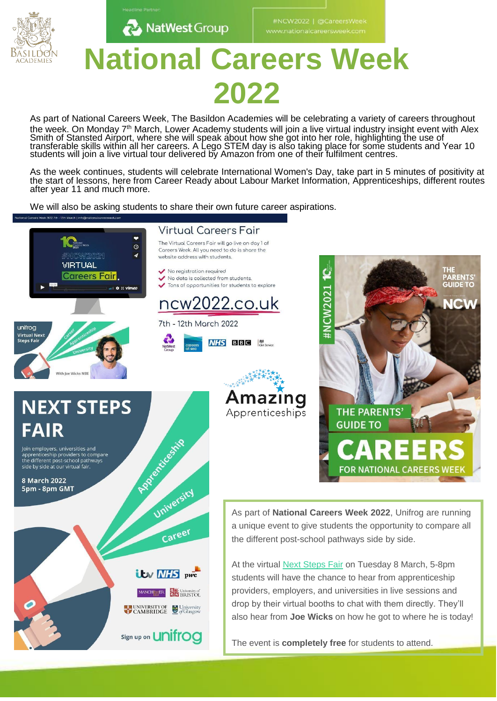

# **National Careers Week 2022**

As part of National Careers Week, The Basildon Academies will be celebrating a variety of careers throughout the week. On Monday 7<sup>th</sup> March, Lower Academy students will join a live virtual industry insight event with Alex Smith of Stansted Airport, where she will speak about how she got into her role, highlighting the use of transferable skills within all her careers. A Lego STEM day is also taking place for some students and Year 10 students will join a live virtual tour delivered by Amazon from one of their fulfilment centres.

As the week continues, students will celebrate International Women's Day, take part in 5 minutes of positivity at the start of lessons, here from Career Ready about Labour Market Information, Apprenticeships, different routes after year 11 and much more.

We will also be asking students to share their own future career aspirations.

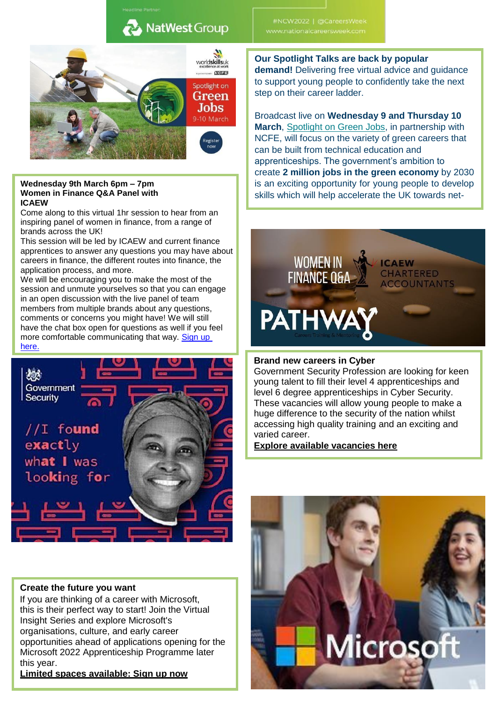

#### **Wednesday 9th March 6pm – 7pm Women in Finance Q&A Panel with ICAEW**

Come along to this virtual 1hr session to hear from an inspiring panel of women in finance, from a range of brands across the UK!

This session will be led by ICAEW and current finance apprentices to answer any questions you may have about careers in finance, the different routes into finance, the application process, and more.

We will be encouraging you to make the most of the session and unmute yourselves so that you can engage in an open discussion with the live panel of team members from multiple brands about any questions, comments or concerns you might have! We will still have the chat box open for questions as well if you feel more comfortable communicating that way. Sign up [here.](https://pathwayctm.com/event/women-in-finance-qa-panel-with-icaew/?fbclid=IwAR2ElBeB8om7sJ4-XVlgLE6ixNihfw5MkWhqPIe31Iw60r7VU-ZFCBAmGyY)



#### **Create the future you want**

If you are thinking of a career with Microsoft, this is their perfect way to start! Join the Virtual Insight Series and explore Microsoft's organisations, culture, and early career opportunities ahead of applications opening for the Microsoft 2022 Apprenticeship Programme later this year.

**[Limited spaces available: Sign up now](https://content.thetalentportal.co.uk/e3t/Btc/ON%2B113/cpD0d04/VX7XLv2SZ2h0W4bdxhl32Sj8tW61z83B4FXm63N8pR4D73d40tV1-WJV7CgD8fN61HcPlYKnC9W9bN8CM5NckK1W5STGkL7RNLv6W6ZshlF41y6YxW6MXf922YWDt0W4-H5t_7_Zl7KW6DtTPn52hZffVQ4kgm2rBsKtW8yWSCM41w1PyW8RjQZh7MjLclW4xzZkc7NwyM_W7WZV658MKnbbW1xpTsB6ZMXdsW8C45k37TWSdPW80xDxl3XzyrbW6LD4Lb5CdWxZVd0GQY1C_y9CW8q_ctz6xj4JQW4PMfZP73JNjqV7bnSN33517KVK9x-G7HYDrkW2NT4l_7Hg3PZN1WCBTN24Q9GW8g6M-C8c3Z91W3291ct99Dpy8W1w8yf87nNHKHW6Qm9Ct78SdXtW5C3Lfp8f8ZjfVcrR6-2bHvPFW2kGSZp70CbVv35g21)**

# #NCW2022 | @CareersWeek

**Our Spotlight Talks are back by popular demand!** Delivering free virtual advice and guidance to support young people to confidently take the next step on their career ladder.

Broadcast live on **Wednesday 9 and Thursday 10 March**, [Spotlight on Green Jobs,](https://worldskillsuk.us6.list-manage.com/track/click?u=119f6fa8a15eeff15872a76e5&id=b469b9ce31&e=0e88e7fa89) in partnership with NCFE, will focus on the variety of green careers that can be built from technical education and apprenticeships. The government's ambition to create **2 million jobs in the green economy** by 2030 is an exciting opportunity for young people to develop skills which will help accelerate the UK towards net-



#### **Brand new careers in Cyber**

Government Security Profession are looking for keen young talent to fill their level 4 apprenticeships and level 6 degree apprenticeships in Cyber Security. These vacancies will allow young people to make a huge difference to the security of the nation whilst accessing high quality training and an exciting and varied career.

**[Explore available vacancies here](https://content.thetalentportal.co.uk/e3t/Btc/ON%2B113/cpD0d04/VX7XLv2SZ2h0W4bdxhl32Sj8tW61z83B4FXm63N8pR4BZ5nCVBV3Zsc37Cg-mjN3bHYVP2BMG2W5y8QPC71P8Q-W7rt-ZV2H3rvYW3DVjxp6MbPGXW81WjY71C-Z64W4SDp9K2NBD-MM6Ff9RPkQSgVjBgQC1HDPdbW8bYK_v7LHrNLW1B94sW8SJVHGW8rqgng85RPCsN3hnS2FMpcXnW49YTY75hNrZDW8scYqT5sLdNgW23fwgX1Z5FtzW7MTmV_6102MnW7Hc5lr2zB3QYW2bL7rN3y7jqLVbsbpL3JV8hXW4h2S7J1nx59FW5l10Vb4VlTrNV9_wj44C6KrlW2GCwld7MTZkDW7Zr0548YFPp8W4PYdv_1VZj02W4nG7PV8vbdJ8N8h79nVyv71xN56p0VXg5WW0N3mR7HY9F1R8W34jk9f5wgVG8W1vwWf72lVRp1W1b8khL4P-jZyW317lXC8CM-KMW4hyJcX893w-RW99rdwH810qv-W5rPp7y5pQ9yXW57vsXW4F0M6-W8ctqdL1QW-Cb3f951)**

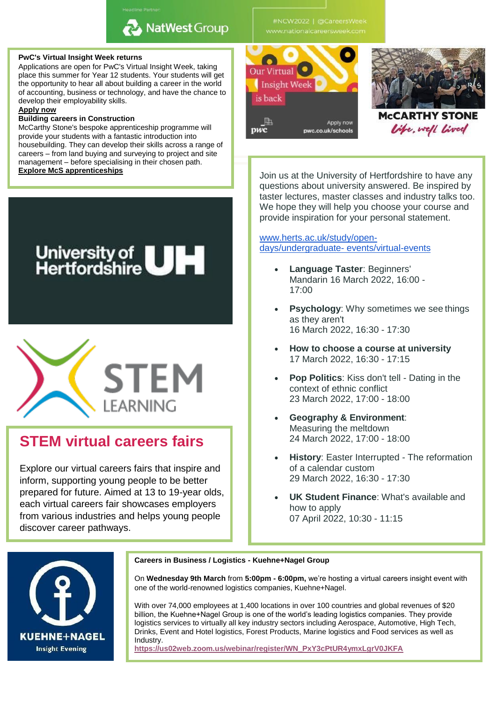#### **PwC's Virtual Insight Week returns**

Applications are open for PwC's Virtual Insight Week, taking place this summer for Year 12 students. Your students will get the opportunity to hear all about building a career in the world of accounting, business or technology, and have the chance to develop their employability skills.

#### **[Apply now](https://content.thetalentportal.co.uk/e3t/Btc/ON%2B113/cpD0d04/VX7XLv2SZ2h0W4bdxhl32Sj8tW61z83B4FXm63N8pR4Cf3q3nJV1-WJV7CgMt_W7spYzR3qmXPKN75nplKWTk2cW8RQh4J1gNQkLW29LGKd1Lz-5TW9bKF_B4pmhPYW3xsJkR3lrGyJW4mvKth1M8dFMW60Xrb38HmTC4W5139WN933XxjW7DxKb74vMc4ZW1kTyK08n0HfjW6xDlkb9fNSRJW7Y3TmC1K_ypqW1_JMLy93LTywW8mqX637_K15XVWqzv57yL8qtW6kgqzC1VGGn2W7cHm__61Bjj8W4NLjKd4wYlyCW68DmBj7zftLhMG0F4xvXtVgW9dH3J75yHFSTW7BZ4Qy9g-VMwW4t5H_z3h7zGm3lr-1)**

#### **Building careers in Construction**

McCarthy Stone's bespoke apprenticeship programme will provide your students with a fantastic introduction into housebuilding. They can develop their skills across a range of careers – from land buying and surveying to project and site management – before specialising in their chosen path.<br>Explore McS apprenticeships

University of **UH** 

**STEM virtual careers fairs**

Explore our virtual careers fairs that inspire and inform, supporting young people to be better prepared for future. Aimed at 13 to 19-year olds, each virtual careers fair showcases employers from various industries and helps young people

**STEM** 

learning



**Join us at the University of Hertfordshire to have any** questions about university answered. Be inspired by taster lectures, master classes and industry talks too. We hope they will help you choose your course and provide inspiration for your personal statement.

#### [www.herts.ac.uk/study/open](http://herts.askadmissions.co.uk/admin/Communications/ClickThru.aspx?qs=_vFj2nfd933byQBqVRzc8bWrtv7dZI-0KcdYsjo6Qtljz43r5Sn9ztHYDjeJAJVI8)[days/undergraduate-](http://herts.askadmissions.co.uk/admin/Communications/ClickThru.aspx?qs=_vFj2nfd933byQBqVRzc8bWrtv7dZI-0KcdYsjo6Qtljz43r5Sn9ztHYDjeJAJVI8) [events/virtual-events](http://herts.askadmissions.co.uk/admin/Communications/ClickThru.aspx?qs=_vFj2nfd933byQBqVRzc8bWrtv7dZI-0KcdYsjo6Qtljz43r5Sn9ztHYDjeJAJVI8)

- **Language Taster**: Beginners' Mandarin 16 March 2022, 16:00 - 17:00
- **Psychology**: Why sometimes we see things as they aren't 16 March 2022, 16:30 - 17:30
- **How to choose a course at university** 17 March 2022, 16:30 - 17:15
- **Pop Politics**: Kiss don't tell Dating in the context of ethnic conflict 23 March 2022, 17:00 - 18:00
- **Geography & Environment**: Measuring the meltdown 24 March 2022, 17:00 - 18:00
- **History**: Easter Interrupted The reformation of a calendar custom 29 March 2022, 16:30 - 17:30
- **UK Student Finance**: What's available and how to apply 07 April 2022, 10:30 - 11:15



discover career pathways.

#### **Careers in Business / Logistics - Kuehne+Nagel Group**

On **Wednesday 9th March** from **5:00pm - 6:00pm,** we're hosting a virtual careers insight event with one of the world-renowned logistics companies, Kuehne+Nagel.

With over 74,000 employees at 1,400 locations in over 100 countries and global revenues of \$20 billion, the Kuehne+Nagel Group is one of the world's leading logistics companies. They provide logistics services to virtually all key industry sectors including Aerospace, Automotive, High Tech, Drinks, Event and Hotel logistics, Forest Products, Marine logistics and Food services as well as Industry.

**[https://us02web.zoom.us/webinar/register/WN\\_PxY3cPtUR4ymxLgrV0JKFA](https://us02web.zoom.us/webinar/register/WN_PxY3cPtUR4ymxLgrV0JKFA)**